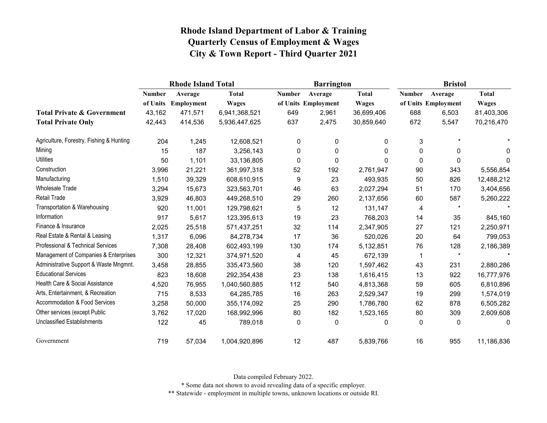|                                          | <b>Rhode Island Total</b> |            |               |               | <b>Barrington</b>   |              | <b>Bristol</b> |                     |              |
|------------------------------------------|---------------------------|------------|---------------|---------------|---------------------|--------------|----------------|---------------------|--------------|
|                                          | <b>Number</b>             | Average    | <b>Total</b>  | <b>Number</b> | Average             | <b>Total</b> | <b>Number</b>  | Average             | <b>Total</b> |
|                                          | of Units                  | Employment | <b>Wages</b>  |               | of Units Employment | <b>Wages</b> |                | of Units Employment | <b>Wages</b> |
| <b>Total Private &amp; Government</b>    | 43,162                    | 471,571    | 6,941,368,521 | 649           | 2,961               | 36,699,406   | 688            | 6,503               | 81,403,306   |
| <b>Total Private Only</b>                | 42,443                    | 414,536    | 5,936,447,625 | 637           | 2,475               | 30,859,640   | 672            | 5,547               | 70,216,470   |
| Agriculture, Forestry, Fishing & Hunting | 204                       | 1,245      | 12,608,521    | $\mathbf 0$   | $\mathbf 0$         | 0            | 3              | $\star$             |              |
| Mining                                   | 15                        | 187        | 3,256,143     | $\mathbf 0$   | $\mathbf 0$         | 0            | 0              | 0                   | 0            |
| <b>Utilities</b>                         | 50                        | 1,101      | 33,136,805    | 0             | $\mathbf 0$         | 0            | 0              | 0                   | $\Omega$     |
| Construction                             | 3,996                     | 21,221     | 361,997,318   | 52            | 192                 | 2,761,947    | 90             | 343                 | 5,556,854    |
| Manufacturing                            | 1,510                     | 39,329     | 608,610,915   | 9             | 23                  | 493,935      | 50             | 826                 | 12,488,212   |
| <b>Wholesale Trade</b>                   | 3,294                     | 15,673     | 323,563,701   | 46            | 63                  | 2,027,294    | 51             | 170                 | 3,404,656    |
| <b>Retail Trade</b>                      | 3,929                     | 46,803     | 449,268,510   | 29            | 260                 | 2,137,656    | 60             | 587                 | 5,260,222    |
| Transportation & Warehousing             | 920                       | 11,001     | 129,798,621   | 5             | 12                  | 131,147      | 4              | $\star$             |              |
| Information                              | 917                       | 5,617      | 123,395,613   | 19            | 23                  | 768,203      | 14             | 35                  | 845,160      |
| Finance & Insurance                      | 2,025                     | 25,518     | 571,437,251   | 32            | 114                 | 2,347,905    | 27             | 121                 | 2,250,971    |
| Real Estate & Rental & Leasing           | 1,317                     | 6,096      | 84,278,734    | 17            | 36                  | 520,026      | 20             | 64                  | 799,053      |
| Professional & Technical Services        | 7,308                     | 28,408     | 602,493,199   | 130           | 174                 | 5,132,851    | 76             | 128                 | 2,186,389    |
| Management of Companies & Enterprises    | 300                       | 12,321     | 374,971,520   | 4             | 45                  | 672,139      | 1              | $\star$             |              |
| Administrative Support & Waste Mngmnt.   | 3,458                     | 28,855     | 335,473,560   | 38            | 120                 | 1,597,462    | 43             | 231                 | 2,880,286    |
| <b>Educational Services</b>              | 823                       | 18,608     | 292,354,438   | 23            | 138                 | 1,616,415    | 13             | 922                 | 16,777,976   |
| Health Care & Social Assistance          | 4,520                     | 76,955     | 1,040,560,885 | 112           | 540                 | 4,813,368    | 59             | 605                 | 6,810,896    |
| Arts, Entertainment, & Recreation        | 715                       | 8,533      | 64,285,785    | 16            | 263                 | 2,529,347    | 19             | 299                 | 1,574,019    |
| Accommodation & Food Services            | 3,258                     | 50,000     | 355, 174, 092 | 25            | 290                 | 1,786,780    | 62             | 878                 | 6,505,282    |
| Other services (except Public            | 3,762                     | 17,020     | 168,992,996   | 80            | 182                 | 1,523,165    | 80             | 309                 | 2,609,608    |
| <b>Unclassified Establishments</b>       | 122                       | 45         | 789,018       | 0             | $\mathbf 0$         | 0            | 0              | 0                   | 0            |
| Government                               | 719                       | 57,034     | 1,004,920,896 | 12            | 487                 | 5,839,766    | 16             | 955                 | 11,186,836   |

Data compiled February 2022.

\* Some data not shown to avoid revealing data of a specific employer.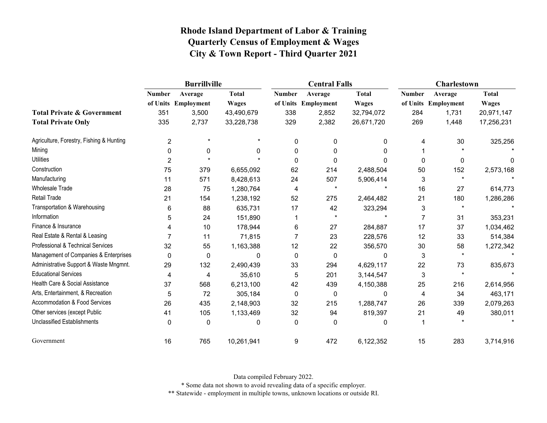|                                          |                | <b>Burrillville</b> |              |               | <b>Central Falls</b> |              | Charlestown   |                     |              |
|------------------------------------------|----------------|---------------------|--------------|---------------|----------------------|--------------|---------------|---------------------|--------------|
|                                          | <b>Number</b>  | Average             | <b>Total</b> | <b>Number</b> | Average              | <b>Total</b> | <b>Number</b> | Average             | <b>Total</b> |
|                                          |                | of Units Employment | <b>Wages</b> |               | of Units Employment  | <b>Wages</b> |               | of Units Employment | <b>Wages</b> |
| <b>Total Private &amp; Government</b>    | 351            | 3,500               | 43,490,679   | 338           | 2,852                | 32,794,072   | 284           | 1,731               | 20,971,147   |
| <b>Total Private Only</b>                | 335            | 2,737               | 33,228,738   | 329           | 2,382                | 26,671,720   | 269           | 1,448               | 17,256,231   |
| Agriculture, Forestry, Fishing & Hunting | $\overline{2}$ | $\star$             | $\star$      | 0             | $\mathbf{0}$         | 0            | 4             | 30                  | 325,256      |
| Mining                                   | $\Omega$       | 0                   | 0            | 0             | 0                    | 0            |               |                     |              |
| <b>Utilities</b>                         | $\overline{c}$ |                     |              | 0             | 0                    | 0            | 0             | 0                   | 0            |
| Construction                             | 75             | 379                 | 6,655,092    | 62            | 214                  | 2,488,504    | 50            | 152                 | 2,573,168    |
| Manufacturing                            | 11             | 571                 | 8,428,613    | 24            | 507                  | 5,906,414    | 3             | $\star$             |              |
| Wholesale Trade                          | 28             | 75                  | 1,280,764    | 4             | $\star$              |              | 16            | 27                  | 614,773      |
| <b>Retail Trade</b>                      | 21             | 154                 | 1,238,192    | 52            | 275                  | 2,464,482    | 21            | 180                 | 1,286,286    |
| Transportation & Warehousing             | 6              | 88                  | 635,731      | 17            | 42                   | 323,294      | 3             | $\star$             |              |
| Information                              | 5              | 24                  | 151,890      |               | $\star$              |              | 7             | 31                  | 353,231      |
| Finance & Insurance                      |                | 10                  | 178,944      | 6             | 27                   | 284,887      | 17            | 37                  | 1,034,462    |
| Real Estate & Rental & Leasing           |                | 11                  | 71,815       |               | 23                   | 228,576      | 12            | 33                  | 514,384      |
| Professional & Technical Services        | 32             | 55                  | 1,163,388    | 12            | 22                   | 356,570      | $30\,$        | 58                  | 1,272,342    |
| Management of Companies & Enterprises    | $\mathbf{0}$   | $\mathbf 0$         | 0            | 0             | $\Omega$             | 0            | 3             | $\star$             |              |
| Administrative Support & Waste Mngmnt.   | 29             | 132                 | 2,490,439    | 33            | 294                  | 4,629,117    | 22            | 73                  | 835,673      |
| <b>Educational Services</b>              | 4              | 4                   | 35,610       | 5             | 201                  | 3,144,547    | 3             | $\star$             |              |
| Health Care & Social Assistance          | 37             | 568                 | 6,213,100    | 42            | 439                  | 4,150,388    | 25            | 216                 | 2,614,956    |
| Arts, Entertainment, & Recreation        | 5              | 72                  | 305,184      | $\mathbf 0$   | 0                    | $\mathbf{0}$ | 4             | 34                  | 463,171      |
| Accommodation & Food Services            | 26             | 435                 | 2,148,903    | 32            | 215                  | 1,288,747    | 26            | 339                 | 2,079,263    |
| Other services (except Public            | 41             | 105                 | 1,133,469    | 32            | 94                   | 819,397      | 21            | 49                  | 380,011      |
| <b>Unclassified Establishments</b>       | 0              | $\mathbf 0$         | 0            | $\mathbf{0}$  | $\Omega$             | 0            |               |                     |              |
| Government                               | 16             | 765                 | 10,261,941   | 9             | 472                  | 6,122,352    | 15            | 283                 | 3,714,916    |

Data compiled February 2022.

\* Some data not shown to avoid revealing data of a specific employer.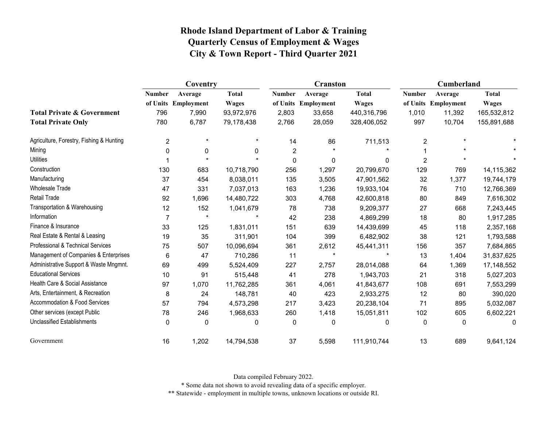|                                          | Coventry       |                     |              |               | <b>Cranston</b>     |              | Cumberland     |                     |              |
|------------------------------------------|----------------|---------------------|--------------|---------------|---------------------|--------------|----------------|---------------------|--------------|
|                                          | <b>Number</b>  | Average             | <b>Total</b> | <b>Number</b> | Average             | <b>Total</b> | <b>Number</b>  | Average             | <b>Total</b> |
|                                          |                | of Units Employment | <b>Wages</b> |               | of Units Employment | <b>Wages</b> |                | of Units Employment | <b>Wages</b> |
| <b>Total Private &amp; Government</b>    | 796            | 7,990               | 93,972,976   | 2,803         | 33,658              | 440,316,796  | 1,010          | 11,392              | 165,532,812  |
| <b>Total Private Only</b>                | 780            | 6,787               | 79,178,438   | 2,766         | 28,059              | 328,406,052  | 997            | 10,704              | 155,891,688  |
| Agriculture, Forestry, Fishing & Hunting | $\overline{2}$ | $\star$             | $\star$      | 14            | 86                  | 711,513      | 2              | $\star$             |              |
| Mining                                   | 0              | 0                   | $\mathbf{0}$ | 2             |                     |              |                |                     |              |
| <b>Utilities</b>                         |                | $\star$             |              | $\pmb{0}$     | $\mathbf 0$         | $\Omega$     | $\overline{c}$ | $\star$             |              |
| Construction                             | 130            | 683                 | 10,718,790   | 256           | 1,297               | 20,799,670   | 129            | 769                 | 14,115,362   |
| Manufacturing                            | 37             | 454                 | 8,038,011    | 135           | 3,505               | 47,901,562   | 32             | 1,377               | 19,744,179   |
| <b>Wholesale Trade</b>                   | 47             | 331                 | 7,037,013    | 163           | 1,236               | 19,933,104   | 76             | 710                 | 12,766,369   |
| Retail Trade                             | 92             | 1,696               | 14,480,722   | 303           | 4,768               | 42,600,818   | 80             | 849                 | 7,616,302    |
| Transportation & Warehousing             | 12             | 152                 | 1,041,679    | 78            | 738                 | 9,209,377    | 27             | 668                 | 7,243,445    |
| Information                              | $\overline{7}$ | $\star$             |              | 42            | 238                 | 4,869,299    | 18             | 80                  | 1,917,285    |
| Finance & Insurance                      | 33             | 125                 | 1,831,011    | 151           | 639                 | 14,439,699   | 45             | 118                 | 2,357,168    |
| Real Estate & Rental & Leasing           | 19             | 35                  | 311,901      | 104           | 399                 | 6,482,902    | 38             | 121                 | 1,793,588    |
| Professional & Technical Services        | 75             | 507                 | 10,096,694   | 361           | 2,612               | 45,441,311   | 156            | 357                 | 7,684,865    |
| Management of Companies & Enterprises    | 6              | 47                  | 710,286      | 11            | $\star$             |              | 13             | 1,404               | 31,837,625   |
| Administrative Support & Waste Mngmnt.   | 69             | 499                 | 5,524,409    | 227           | 2,757               | 28,014,088   | 64             | 1,369               | 17,148,552   |
| <b>Educational Services</b>              | 10             | 91                  | 515,448      | 41            | 278                 | 1,943,703    | 21             | 318                 | 5,027,203    |
| Health Care & Social Assistance          | 97             | 1,070               | 11,762,285   | 361           | 4,061               | 41,843,677   | 108            | 691                 | 7,553,299    |
| Arts, Entertainment, & Recreation        | 8              | 24                  | 148,781      | 40            | 423                 | 2,933,275    | 12             | 80                  | 390,020      |
| <b>Accommodation &amp; Food Services</b> | 57             | 794                 | 4,573,298    | 217           | 3,423               | 20,238,104   | 71             | 895                 | 5,032,087    |
| Other services (except Public            | 78             | 246                 | 1,968,633    | 260           | 1,418               | 15,051,811   | 102            | 605                 | 6,602,221    |
| <b>Unclassified Establishments</b>       | 0              | 0                   | 0            | 0             | 0                   | 0            | 0              | 0                   | 0            |
| Government                               | 16             | 1,202               | 14,794,538   | 37            | 5,598               | 111,910,744  | 13             | 689                 | 9,641,124    |

Data compiled February 2022.

\* Some data not shown to avoid revealing data of a specific employer.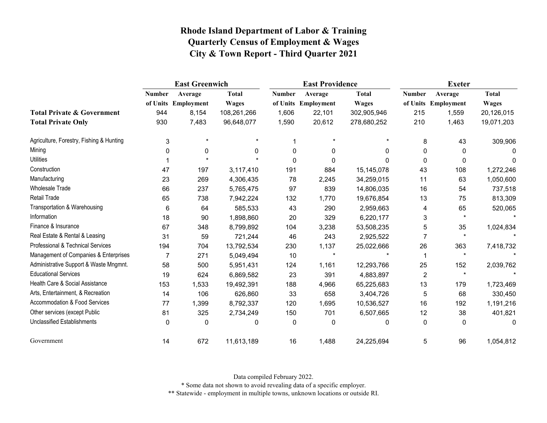|                                          | <b>East Greenwich</b> |                     |              |               | <b>East Providence</b> |              | <b>Exeter</b>  |                     |              |
|------------------------------------------|-----------------------|---------------------|--------------|---------------|------------------------|--------------|----------------|---------------------|--------------|
|                                          | <b>Number</b>         | Average             | <b>Total</b> | <b>Number</b> | Average                | <b>Total</b> | <b>Number</b>  | Average             | <b>Total</b> |
|                                          |                       | of Units Employment | <b>Wages</b> |               | of Units Employment    | <b>Wages</b> |                | of Units Employment | <b>Wages</b> |
| <b>Total Private &amp; Government</b>    | 944                   | 8,154               | 108,261,266  | 1,606         | 22,101                 | 302,905,946  | 215            | 1,559               | 20,126,015   |
| <b>Total Private Only</b>                | 930                   | 7,483               | 96,648,077   | 1,590         | 20,612                 | 278,680,252  | 210            | 1,463               | 19,071,203   |
| Agriculture, Forestry, Fishing & Hunting | 3                     | $\star$             | $\star$      |               | $\star$                | $\star$      | 8              | 43                  | 309,906      |
| Mining                                   | $\mathbf 0$           | 0                   | $\mathbf{0}$ | 0             | 0                      | 0            | 0              | 0                   | 0            |
| <b>Utilities</b>                         |                       |                     |              | $\mathbf 0$   | 0                      | $\Omega$     | 0              | 0                   | 0            |
| Construction                             | 47                    | 197                 | 3,117,410    | 191           | 884                    | 15,145,078   | 43             | 108                 | 1,272,246    |
| Manufacturing                            | 23                    | 269                 | 4,306,435    | 78            | 2,245                  | 34,259,015   | 11             | 63                  | 1,050,600    |
| Wholesale Trade                          | 66                    | 237                 | 5,765,475    | 97            | 839                    | 14,806,035   | 16             | 54                  | 737,518      |
| <b>Retail Trade</b>                      | 65                    | 738                 | 7,942,224    | 132           | 1,770                  | 19,676,854   | 13             | 75                  | 813,309      |
| Transportation & Warehousing             | 6                     | 64                  | 585,533      | 43            | 290                    | 2,959,663    | 4              | 65                  | 520,065      |
| Information                              | 18                    | 90                  | 1,898,860    | 20            | 329                    | 6,220,177    | 3              | $\star$             |              |
| Finance & Insurance                      | 67                    | 348                 | 8,799,892    | 104           | 3,238                  | 53,508,235   | 5              | 35                  | 1,024,834    |
| Real Estate & Rental & Leasing           | 31                    | 59                  | 721,244      | 46            | 243                    | 2,925,522    | 7              | $\star$             |              |
| Professional & Technical Services        | 194                   | 704                 | 13,792,534   | 230           | 1,137                  | 25,022,666   | 26             | 363                 | 7,418,732    |
| Management of Companies & Enterprises    | 7                     | 271                 | 5,049,494    | 10            | $\star$                |              |                | $\star$             |              |
| Administrative Support & Waste Mngmnt.   | 58                    | 500                 | 5,951,431    | 124           | 1,161                  | 12,293,766   | 25             | 152                 | 2,039,762    |
| <b>Educational Services</b>              | 19                    | 624                 | 6,869,582    | 23            | 391                    | 4,883,897    | $\overline{c}$ | $\star$             |              |
| Health Care & Social Assistance          | 153                   | 1,533               | 19,492,391   | 188           | 4,966                  | 65,225,683   | 13             | 179                 | 1,723,469    |
| Arts, Entertainment, & Recreation        | 14                    | 106                 | 626,860      | 33            | 658                    | 3,404,726    | 5              | 68                  | 330,450      |
| Accommodation & Food Services            | 77                    | 1,399               | 8,792,337    | 120           | 1,695                  | 10,536,527   | 16             | 192                 | 1,191,216    |
| Other services (except Public            | 81                    | 325                 | 2,734,249    | 150           | 701                    | 6,507,665    | 12             | 38                  | 401,821      |
| <b>Unclassified Establishments</b>       | 0                     | 0                   | 0            | 0             | 0                      | 0            | 0              | 0                   | 0            |
| Government                               | 14                    | 672                 | 11,613,189   | 16            | 1,488                  | 24,225,694   | 5              | 96                  | 1,054,812    |

Data compiled February 2022.

\* Some data not shown to avoid revealing data of a specific employer.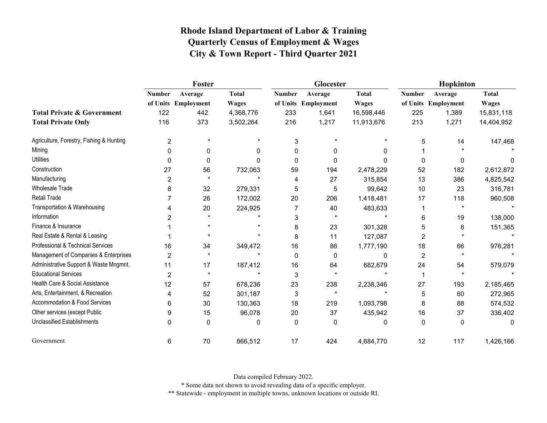|                                          |               | Foster              |              |               | Glocester           |              | Hopkinton     |                     |              |
|------------------------------------------|---------------|---------------------|--------------|---------------|---------------------|--------------|---------------|---------------------|--------------|
|                                          | <b>Number</b> | Average             | <b>Total</b> | <b>Number</b> | Average             | <b>Total</b> | <b>Number</b> | Average             | <b>Total</b> |
|                                          |               | of Units Employment | <b>Wages</b> |               | of Units Employment | <b>Wages</b> |               | of Units Employment | <b>Wages</b> |
| <b>Total Private &amp; Government</b>    | 122           | 442                 | 4,368,776    | 233           | 1,641               | 16,598,446   | 225           | 1,389               | 15,831,118   |
| <b>Total Private Only</b>                | 116           | 373                 | 3,502,264    | 216           | 1,217               | 11,913,676   | 213           | 1,271               | 14,404,952   |
| Agriculture, Forestry, Fishing & Hunting | 2             | $\star$             |              | 3             |                     | $\star$      | 5             | 14                  | 147,468      |
| Mining                                   | $\Omega$      | 0                   | 0            | $\Omega$      | 0                   | 0            |               |                     |              |
| <b>Utilities</b>                         | 0             | $\Omega$            | 0            | $\Omega$      | 0                   | 0            | 0             | 0                   | 0            |
| Construction                             | 27            | 56                  | 732,063      | 59            | 194                 | 2,478,229    | 52            | 182                 | 2,612,872    |
| Manufacturing                            | 2             |                     |              | 4             | 27                  | 315,854      | 13            | 386                 | 4,825,542    |
| <b>Wholesale Trade</b>                   | 8             | 32                  | 279,331      | 5             | 5                   | 99,642       | 10            | 23                  | 316,781      |
| Retail Trade                             |               | 26                  | 172,002      | 20            | 206                 | 1,418,481    | 17            | 118                 | 960,508      |
| Transportation & Warehousing             |               | 20                  | 224,925      |               | 40                  | 483,633      |               |                     |              |
| Information                              | 2             | $\star$             |              | 3             | $\star$             |              | 6             | 19                  | 138,000      |
| Finance & Insurance                      |               | $\star$             |              | 8             | 23                  | 301,328      | 5             | 8                   | 151,365      |
| Real Estate & Rental & Leasing           |               |                     | $\star$      | 8             | 11                  | 127,087      | 2             |                     |              |
| Professional & Technical Services        | 16            | 34                  | 349,472      | 16            | 86                  | 1,777,190    | 18            | 66                  | 976,281      |
| Management of Companies & Enterprises    | 2             | $\star$             |              | 0             | $\Omega$            | 0            | 2             | $\star$             |              |
| Administrative Support & Waste Mngmnt.   | 11            | 17                  | 187,412      | 16            | 64                  | 682,679      | 24            | 54                  | 579,079      |
| <b>Educational Services</b>              | 2             | $\star$             |              | 3             | $\star$             |              |               | $\star$             |              |
| Health Care & Social Assistance          | 12            | 57                  | 678,236      | 23            | 238                 | 2,238,346    | 27            | 193                 | 2,185,465    |
| Arts, Entertainment, & Recreation        | 4             | 52                  | 301,187      | 3             | $\star$             |              | 5             | 60                  | 272,965      |
| Accommodation & Food Services            | 6             | 30                  | 130,363      | 18            | 219                 | 1,093,798    | 8             | 88                  | 574,532      |
| Other services (except Public            | 9             | 15                  | 96,078       | 20            | 37                  | 435,942      | 16            | 37                  | 336,402      |
| <b>Unclassified Establishments</b>       | $\Omega$      | $\Omega$            | 0            | $\Omega$      | $\Omega$            | 0            | $\mathbf 0$   | $\mathbf 0$         | 0            |
| Government                               | 6             | 70                  | 866,512      | 17            | 424                 | 4,684,770    | 12            | 117                 | 1,426,166    |

Data compiled February 2022.

\* Some data not shown to avoid revealing data of a specific employer.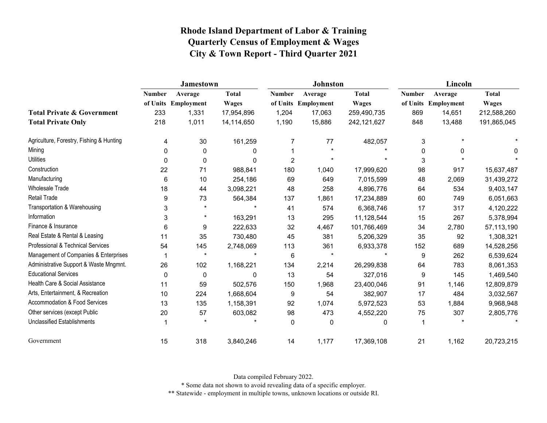|                                          | <b>Jamestown</b> |                     |              |                | <b>Johnston</b>     |              | Lincoln       |                     |              |  |
|------------------------------------------|------------------|---------------------|--------------|----------------|---------------------|--------------|---------------|---------------------|--------------|--|
|                                          | <b>Number</b>    | Average             | <b>Total</b> | <b>Number</b>  | Average             | <b>Total</b> | <b>Number</b> | Average             | <b>Total</b> |  |
|                                          |                  | of Units Employment | <b>Wages</b> |                | of Units Employment | <b>Wages</b> |               | of Units Employment | <b>Wages</b> |  |
| <b>Total Private &amp; Government</b>    | 233              | 1,331               | 17,954,896   | 1,204          | 17,063              | 259,490,735  | 869           | 14,651              | 212,588,260  |  |
| <b>Total Private Only</b>                | 218              | 1,011               | 14,114,650   | 1,190          | 15,886              | 242,121,627  | 848           | 13,488              | 191,865,045  |  |
| Agriculture, Forestry, Fishing & Hunting | 4                | 30                  | 161,259      | 7              | 77                  | 482,057      | 3             |                     |              |  |
| Mining                                   | $\Omega$         | 0                   | 0            |                |                     |              | 0             |                     | 0            |  |
| <b>Utilities</b>                         | 0                | 0                   | 0            | $\overline{c}$ |                     |              | 3             |                     |              |  |
| Construction                             | 22               | 71                  | 988,841      | 180            | 1,040               | 17,999,620   | 98            | 917                 | 15,637,487   |  |
| Manufacturing                            | 6                | 10                  | 254,186      | 69             | 649                 | 7,015,599    | 48            | 2,069               | 31,439,272   |  |
| <b>Wholesale Trade</b>                   | 18               | 44                  | 3,098,221    | 48             | 258                 | 4,896,776    | 64            | 534                 | 9,403,147    |  |
| <b>Retail Trade</b>                      | 9                | 73                  | 564,384      | 137            | 1,861               | 17,234,889   | 60            | 749                 | 6,051,663    |  |
| Transportation & Warehousing             | 3                | $\star$             | $\star$      | 41             | 574                 | 6,368,746    | 17            | 317                 | 4,120,222    |  |
| Information                              | 3                | $\star$             | 163,291      | 13             | 295                 | 11,128,544   | 15            | 267                 | 5,378,994    |  |
| Finance & Insurance                      | 6                | 9                   | 222,633      | 32             | 4,467               | 101,766,469  | 34            | 2,780               | 57,113,190   |  |
| Real Estate & Rental & Leasing           | 11               | 35                  | 730,480      | 45             | 381                 | 5,206,329    | 35            | 92                  | 1,308,321    |  |
| Professional & Technical Services        | 54               | 145                 | 2,748,069    | 113            | 361                 | 6,933,378    | 152           | 689                 | 14,528,256   |  |
| Management of Companies & Enterprises    |                  | $\star$             |              | 6              |                     |              | 9             | 262                 | 6,539,624    |  |
| Administrative Support & Waste Mngmnt.   | 26               | 102                 | 1,168,221    | 134            | 2,214               | 26,299,838   | 64            | 783                 | 8,061,353    |  |
| <b>Educational Services</b>              | 0                | 0                   | 0            | 13             | 54                  | 327,016      | 9             | 145                 | 1,469,540    |  |
| Health Care & Social Assistance          | 11               | 59                  | 502,576      | 150            | 1,968               | 23,400,046   | 91            | 1,146               | 12,809,879   |  |
| Arts, Entertainment, & Recreation        | 10               | 224                 | 1,668,604    | 9              | 54                  | 382,907      | 17            | 484                 | 3,032,567    |  |
| Accommodation & Food Services            | 13               | 135                 | 1,158,391    | 92             | 1,074               | 5,972,523    | 53            | 1,884               | 9,968,948    |  |
| Other services (except Public            | 20               | 57                  | 603,082      | 98             | 473                 | 4,552,220    | 75            | 307                 | 2,805,776    |  |
| <b>Unclassified Establishments</b>       |                  |                     |              | 0              | 0                   | $\mathbf 0$  |               |                     |              |  |
| Government                               | 15               | 318                 | 3,840,246    | 14             | 1,177               | 17,369,108   | 21            | 1,162               | 20,723,215   |  |

Data compiled February 2022.

\* Some data not shown to avoid revealing data of a specific employer.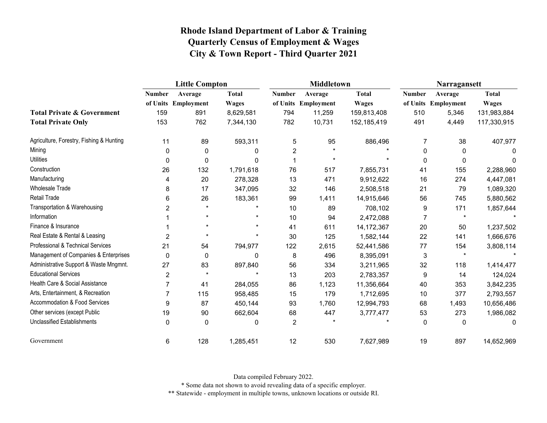|                                              | <b>Little Compton</b> |                     |              |               | Middletown          |              | Narragansett   |                     |              |
|----------------------------------------------|-----------------------|---------------------|--------------|---------------|---------------------|--------------|----------------|---------------------|--------------|
|                                              | <b>Number</b>         | Average             | <b>Total</b> | <b>Number</b> | Average             | <b>Total</b> | <b>Number</b>  | Average             | <b>Total</b> |
|                                              |                       | of Units Employment | <b>Wages</b> |               | of Units Employment | <b>Wages</b> |                | of Units Employment | <b>Wages</b> |
| <b>Total Private &amp; Government</b>        | 159                   | 891                 | 8,629,581    | 794           | 11,259              | 159,813,408  | 510            | 5,346               | 131,983,884  |
| <b>Total Private Only</b>                    | 153                   | 762                 | 7,344,130    | 782           | 10,731              | 152,185,419  | 491            | 4,449               | 117,330,915  |
| Agriculture, Forestry, Fishing & Hunting     | 11                    | 89                  | 593,311      | 5             | 95                  | 886,496      | 7              | 38                  | 407,977      |
| Mining                                       | $\Omega$              | $\mathbf{0}$        | 0            | 2             | $\star$             |              | $\mathbf{0}$   | $\mathbf{0}$        | 0            |
| <b>Utilities</b>                             | $\mathbf 0$           | 0                   | 0            |               | $\star$             | $\star$      | 0              | 0                   | $\Omega$     |
| Construction                                 | 26                    | 132                 | 1,791,618    | 76            | 517                 | 7,855,731    | 41             | 155                 | 2,288,960    |
| Manufacturing                                | 4                     | 20                  | 278,328      | 13            | 471                 | 9,912,622    | 16             | 274                 | 4,447,081    |
| Wholesale Trade                              | 8                     | 17                  | 347,095      | 32            | 146                 | 2,508,518    | 21             | 79                  | 1,089,320    |
| <b>Retail Trade</b>                          | 6                     | 26                  | 183,361      | 99            | 1,411               | 14,915,646   | 56             | 745                 | 5,880,562    |
| Transportation & Warehousing                 | $\overline{2}$        | $\star$             |              | 10            | 89                  | 708,102      | 9              | 171                 | 1,857,644    |
| Information                                  |                       | $\star$             |              | 10            | 94                  | 2,472,088    | $\overline{7}$ | $\star$             |              |
| Finance & Insurance                          |                       | $\star$             |              | 41            | 611                 | 14, 172, 367 | 20             | 50                  | 1,237,502    |
| Real Estate & Rental & Leasing               | $\overline{2}$        |                     | $\star$      | 30            | 125                 | 1,582,144    | 22             | 141                 | 1,666,676    |
| <b>Professional &amp; Technical Services</b> | 21                    | 54                  | 794,977      | 122           | 2,615               | 52,441,586   | $77 \,$        | 154                 | 3,808,114    |
| Management of Companies & Enterprises        | $\mathbf{0}$          | 0                   | $\mathbf{0}$ | 8             | 496                 | 8,395,091    | 3              |                     |              |
| Administrative Support & Waste Mngmnt.       | 27                    | 83                  | 897,840      | 56            | 334                 | 3,211,965    | 32             | 118                 | 1,414,477    |
| <b>Educational Services</b>                  | $\overline{2}$        | $\star$             |              | 13            | 203                 | 2,783,357    | 9              | 14                  | 124,024      |
| Health Care & Social Assistance              | 7                     | 41                  | 284,055      | 86            | 1,123               | 11,356,664   | 40             | 353                 | 3,842,235    |
| Arts, Entertainment, & Recreation            | $\overline{7}$        | 115                 | 958,485      | 15            | 179                 | 1,712,695    | 10             | 377                 | 2,793,557    |
| Accommodation & Food Services                | 9                     | 87                  | 450,144      | 93            | 1,760               | 12,994,793   | 68             | 1,493               | 10,656,486   |
| Other services (except Public                | 19                    | 90                  | 662,604      | 68            | 447                 | 3,777,477    | 53             | 273                 | 1,986,082    |
| <b>Unclassified Establishments</b>           | $\mathbf 0$           | 0                   | 0            | 2             | $\star$             |              | 0              | 0                   | 0            |
| Government                                   | 6                     | 128                 | 1,285,451    | 12            | 530                 | 7,627,989    | 19             | 897                 | 14,652,969   |

Data compiled February 2022.

\* Some data not shown to avoid revealing data of a specific employer.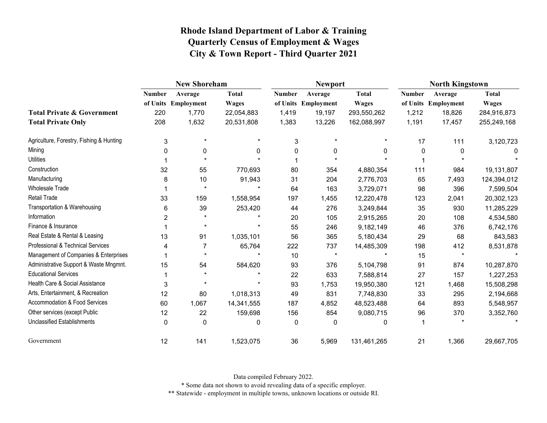|                                          | <b>New Shoreham</b> |                     |              |               | <b>Newport</b>      |              | <b>North Kingstown</b> |                     |              |  |
|------------------------------------------|---------------------|---------------------|--------------|---------------|---------------------|--------------|------------------------|---------------------|--------------|--|
|                                          | <b>Number</b>       | Average             | <b>Total</b> | <b>Number</b> | Average             | <b>Total</b> | <b>Number</b>          | Average             | <b>Total</b> |  |
|                                          |                     | of Units Employment | <b>Wages</b> |               | of Units Employment | <b>Wages</b> |                        | of Units Employment | <b>Wages</b> |  |
| <b>Total Private &amp; Government</b>    | 220                 | 1,770               | 22,054,883   | 1,419         | 19,197              | 293,550,262  | 1,212                  | 18,826              | 284,916,873  |  |
| <b>Total Private Only</b>                | 208                 | 1,632               | 20,531,808   | 1,383         | 13,226              | 162,088,997  | 1,191                  | 17,457              | 255,249,168  |  |
| Agriculture, Forestry, Fishing & Hunting | 3                   | $\star$             |              | 3             |                     |              | 17                     | 111                 | 3,120,723    |  |
| Mining                                   | 0                   | 0                   | 0            | $\mathbf{0}$  | 0                   | 0            | 0                      | $\Omega$            | 0            |  |
| <b>Utilities</b>                         |                     |                     |              |               |                     |              |                        |                     |              |  |
| Construction                             | 32                  | 55                  | 770,693      | 80            | 354                 | 4,880,354    | 111                    | 984                 | 19,131,807   |  |
| Manufacturing                            | 8                   | 10                  | 91,943       | 31            | 204                 | 2,776,703    | 65                     | 7,493               | 124,394,012  |  |
| <b>Wholesale Trade</b>                   |                     | $\star$             |              | 64            | 163                 | 3,729,071    | 98                     | 396                 | 7,599,504    |  |
| Retail Trade                             | 33                  | 159                 | 1,558,954    | 197           | 1,455               | 12,220,478   | 123                    | 2,041               | 20,302,123   |  |
| Transportation & Warehousing             | 6                   | 39                  | 253,420      | 44            | 276                 | 3,249,844    | 35                     | 930                 | 11,285,229   |  |
| Information                              | 2                   |                     |              | 20            | 105                 | 2,915,265    | 20                     | 108                 | 4,534,580    |  |
| Finance & Insurance                      |                     | $\star$             |              | 55            | 246                 | 9,182,149    | 46                     | 376                 | 6,742,176    |  |
| Real Estate & Rental & Leasing           | 13                  | 91                  | 1,035,101    | 56            | 365                 | 5,180,434    | 29                     | 68                  | 843,583      |  |
| Professional & Technical Services        | 4                   |                     | 65,764       | 222           | 737                 | 14,485,309   | 198                    | 412                 | 8,531,878    |  |
| Management of Companies & Enterprises    |                     | $\star$             |              | 10            | $\star$             |              | 15                     | $\star$             |              |  |
| Administrative Support & Waste Mngmnt.   | 15                  | 54                  | 584,620      | 93            | 376                 | 5,104,798    | 91                     | 874                 | 10,287,870   |  |
| <b>Educational Services</b>              |                     |                     |              | 22            | 633                 | 7,588,814    | 27                     | 157                 | 1,227,253    |  |
| Health Care & Social Assistance          | 3                   |                     |              | 93            | 1,753               | 19,950,380   | 121                    | 1,468               | 15,508,298   |  |
| Arts, Entertainment, & Recreation        | 12                  | 80                  | 1,018,313    | 49            | 831                 | 7,748,830    | 33                     | 295                 | 2,194,668    |  |
| <b>Accommodation &amp; Food Services</b> | 60                  | 1,067               | 14,341,555   | 187           | 4,852               | 48,523,488   | 64                     | 893                 | 5,548,957    |  |
| Other services (except Public            | 12                  | 22                  | 159,698      | 156           | 854                 | 9,080,715    | 96                     | 370                 | 3,352,760    |  |
| Unclassified Establishments              | $\mathbf{0}$        | $\mathbf{0}$        | 0            | $\mathbf{0}$  | 0                   | $\mathbf{0}$ |                        |                     |              |  |
| Government                               | 12                  | 141                 | 1,523,075    | 36            | 5,969               | 131,461,265  | 21                     | 1,366               | 29,667,705   |  |

Data compiled February 2022.

\* Some data not shown to avoid revealing data of a specific employer.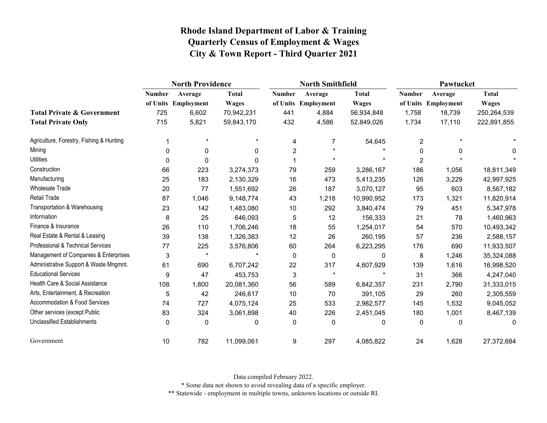|                                              | <b>North Providence</b> |                     |              |               | <b>North Smithfield</b> |              | Pawtucket      |                     |              |
|----------------------------------------------|-------------------------|---------------------|--------------|---------------|-------------------------|--------------|----------------|---------------------|--------------|
|                                              | <b>Number</b>           | Average             | <b>Total</b> | <b>Number</b> | Average                 | <b>Total</b> | <b>Number</b>  | Average             | <b>Total</b> |
|                                              |                         | of Units Employment | <b>Wages</b> |               | of Units Employment     | <b>Wages</b> |                | of Units Employment | <b>Wages</b> |
| <b>Total Private &amp; Government</b>        | 725                     | 6,602               | 70,942,231   | 441           | 4,884                   | 56,934,848   | 1,758          | 18,739              | 250,264,539  |
| <b>Total Private Only</b>                    | 715                     | 5,821               | 59,843,170   | 432           | 4,586                   | 52,849,026   | 1,734          | 17,110              | 222,891,855  |
| Agriculture, Forestry, Fishing & Hunting     |                         | $\star$             | $\star$      | 4             | 7                       | 54,645       | $\overline{c}$ |                     |              |
| Mining                                       | $\Omega$                | 0                   | $\mathbf{0}$ | 2             | $\star$                 |              | $\Omega$       | 0                   | 0            |
| <b>Utilities</b>                             | $\mathbf 0$             | 0                   | 0            |               | $\star$                 | $\star$      | $\overline{2}$ |                     |              |
| Construction                                 | 66                      | 223                 | 3,274,373    | 79            | 259                     | 3,286,167    | 186            | 1,056               | 18,811,349   |
| Manufacturing                                | 25                      | 183                 | 2,130,329    | 16            | 473                     | 5,413,235    | 126            | 3,229               | 42,997,925   |
| <b>Wholesale Trade</b>                       | 20                      | 77                  | 1,551,692    | 26            | 187                     | 3,070,127    | 95             | 603                 | 8,567,182    |
| <b>Retail Trade</b>                          | 87                      | 1,046               | 9,148,774    | 43            | 1,218                   | 10,990,952   | 173            | 1,321               | 11,820,914   |
| Transportation & Warehousing                 | 23                      | 142                 | 1,483,080    | 10            | 292                     | 3,840,474    | 79             | 451                 | 5,347,978    |
| Information                                  | 8                       | 25                  | 646,093      | 5             | 12                      | 156,333      | 21             | 78                  | 1,460,963    |
| Finance & Insurance                          | 26                      | 110                 | 1,706,246    | 18            | 55                      | 1,254,017    | 54             | 570                 | 10,493,342   |
| Real Estate & Rental & Leasing               | 39                      | 138                 | 1,326,383    | 12            | 26                      | 260,195      | 57             | 236                 | 2,588,157    |
| <b>Professional &amp; Technical Services</b> | 77                      | 225                 | 3,576,806    | 60            | 264                     | 6,223,295    | 176            | 690                 | 11,933,507   |
| Management of Companies & Enterprises        | 3                       | $\star$             |              | 0             | 0                       | 0            | 8              | 1,246               | 35,324,088   |
| Administrative Support & Waste Mngmnt.       | 61                      | 690                 | 6,707,242    | 22            | 317                     | 4,607,929    | 139            | 1,616               | 16,998,520   |
| <b>Educational Services</b>                  | 9                       | 47                  | 453,753      | 3             | $\star$                 | $\star$      | 31             | 366                 | 4,247,040    |
| Health Care & Social Assistance              | 108                     | 1,800               | 20,081,360   | 56            | 589                     | 6,842,357    | 231            | 2,790               | 31,333,015   |
| Arts, Entertainment, & Recreation            | 5                       | 42                  | 246,617      | 10            | 70                      | 391,105      | 29             | 260                 | 2,305,559    |
| Accommodation & Food Services                | 74                      | 727                 | 4,075,124    | 25            | 533                     | 2,982,577    | 145            | 1,532               | 9,045,052    |
| Other services (except Public                | 83                      | 324                 | 3,061,898    | 40            | 226                     | 2,451,045    | 180            | 1,001               | 8,467,139    |
| <b>Unclassified Establishments</b>           | $\mathbf 0$             | 0                   | 0            | 0             | $\mathbf 0$             | 0            | 0              | 0                   | 0            |
| Government                                   | 10                      | 782                 | 11,099,061   | 9             | 297                     | 4,085,822    | 24             | 1,628               | 27,372,684   |

Data compiled February 2022.

\* Some data not shown to avoid revealing data of a specific employer.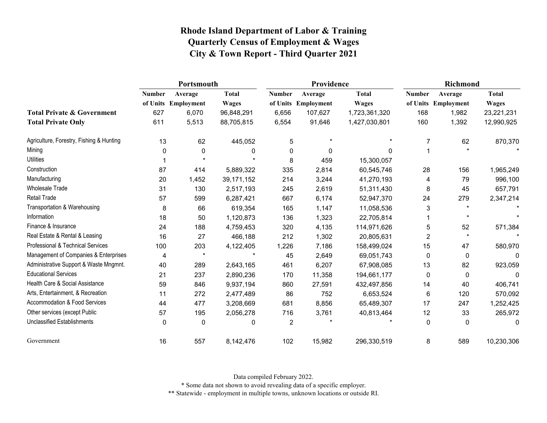|                                          | Portsmouth    |                     |              |                | Providence          |               | <b>Richmond</b> |                     |              |
|------------------------------------------|---------------|---------------------|--------------|----------------|---------------------|---------------|-----------------|---------------------|--------------|
|                                          | <b>Number</b> | Average             | <b>Total</b> | <b>Number</b>  | Average             | <b>Total</b>  | <b>Number</b>   | Average             | Total        |
|                                          |               | of Units Employment | <b>Wages</b> |                | of Units Employment | <b>Wages</b>  |                 | of Units Employment | <b>Wages</b> |
| <b>Total Private &amp; Government</b>    | 627           | 6,070               | 96,848,291   | 6,656          | 107,627             | 1,723,361,320 | 168             | 1,982               | 23,221,231   |
| <b>Total Private Only</b>                | 611           | 5,513               | 88,705,815   | 6,554          | 91,646              | 1,427,030,801 | 160             | 1,392               | 12,990,925   |
| Agriculture, Forestry, Fishing & Hunting | 13            | 62                  | 445,052      | 5              | $\star$             | $\star$       | 7               | 62                  | 870,370      |
| Mining                                   | 0             | 0                   | 0            | 0              | 0                   | 0             |                 |                     |              |
| <b>Utilities</b>                         |               |                     |              | 8              | 459                 | 15,300,057    |                 |                     |              |
| Construction                             | 87            | 414                 | 5,889,322    | 335            | 2,814               | 60,545,746    | 28              | 156                 | 1,965,249    |
| Manufacturing                            | 20            | 1,452               | 39, 171, 152 | 214            | 3,244               | 41,270,193    | 4               | 79                  | 996,100      |
| <b>Wholesale Trade</b>                   | 31            | 130                 | 2,517,193    | 245            | 2,619               | 51,311,430    | 8               | 45                  | 657,791      |
| Retail Trade                             | 57            | 599                 | 6,287,421    | 667            | 6,174               | 52,947,370    | 24              | 279                 | 2,347,214    |
| Transportation & Warehousing             | 8             | 66                  | 619,354      | 165            | 1,147               | 11,058,536    | 3               | $\star$             |              |
| Information                              | 18            | 50                  | 1,120,873    | 136            | 1,323               | 22,705,814    |                 | $\star$             |              |
| Finance & Insurance                      | 24            | 188                 | 4,759,453    | 320            | 4,135               | 114,971,626   | 5               | 52                  | 571,384      |
| Real Estate & Rental & Leasing           | 16            | 27                  | 466,188      | 212            | 1,302               | 20,805,631    | $\overline{2}$  | $\star$             |              |
| Professional & Technical Services        | 100           | 203                 | 4,122,405    | 1,226          | 7,186               | 158,499,024   | 15              | 47                  | 580,970      |
| Management of Companies & Enterprises    | 4             | $\star$             |              | 45             | 2,649               | 69,051,743    | 0               | 0                   | 0            |
| Administrative Support & Waste Mngmnt.   | 40            | 289                 | 2,643,165    | 461            | 6,207               | 67,908,085    | 13              | 82                  | 923,059      |
| <b>Educational Services</b>              | 21            | 237                 | 2,890,236    | 170            | 11,358              | 194,661,177   | 0               | 0                   | 0            |
| Health Care & Social Assistance          | 59            | 846                 | 9,937,194    | 860            | 27,591              | 432,497,856   | 14              | 40                  | 406,741      |
| Arts, Entertainment, & Recreation        | 11            | 272                 | 2,477,489    | 86             | 752                 | 6,653,524     | 6               | 120                 | 570,092      |
| Accommodation & Food Services            | 44            | 477                 | 3,208,669    | 681            | 8,856               | 65,489,307    | 17              | 247                 | 1,252,425    |
| Other services (except Public            | 57            | 195                 | 2,056,278    | 716            | 3,761               | 40,813,464    | 12              | 33                  | 265,972      |
| <b>Unclassified Establishments</b>       | 0             | 0                   | 0            | $\overline{c}$ |                     |               | 0               | 0                   | 0            |
| Government                               | 16            | 557                 | 8,142,476    | 102            | 15,982              | 296,330,519   | 8               | 589                 | 10,230,306   |

Data compiled February 2022.

\* Some data not shown to avoid revealing data of a specific employer.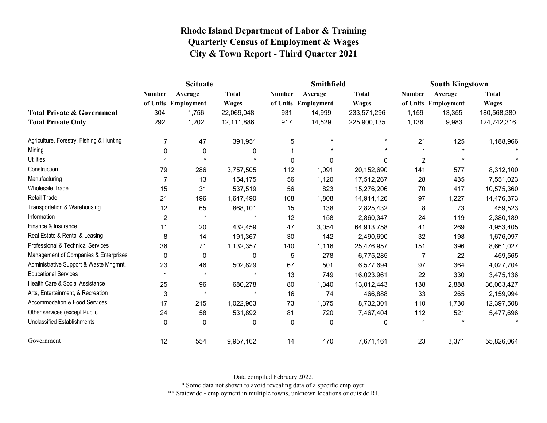|                                          | <b>Scituate</b> |                     |              |               | Smithfield          |              | <b>South Kingstown</b> |                     |              |
|------------------------------------------|-----------------|---------------------|--------------|---------------|---------------------|--------------|------------------------|---------------------|--------------|
|                                          | <b>Number</b>   | Average             | <b>Total</b> | <b>Number</b> | Average             | <b>Total</b> | <b>Number</b>          | Average             | <b>Total</b> |
|                                          |                 | of Units Employment | <b>Wages</b> |               | of Units Employment | <b>Wages</b> |                        | of Units Employment | <b>Wages</b> |
| <b>Total Private &amp; Government</b>    | 304             | 1,756               | 22,069,048   | 931           | 14,999              | 233,571,296  | 1,159                  | 13,355              | 180,568,380  |
| <b>Total Private Only</b>                | 292             | 1,202               | 12,111,886   | 917           | 14,529              | 225,900,135  | 1,136                  | 9,983               | 124,742,316  |
| Agriculture, Forestry, Fishing & Hunting | 7               | 47                  | 391,951      | 5             |                     | $\star$      | 21                     | 125                 | 1,188,966    |
| Mining                                   | 0               | $\mathbf{0}$        | 0            |               |                     |              |                        |                     |              |
| <b>Utilities</b>                         |                 |                     |              | $\mathbf 0$   | $\Omega$            | 0            | 2                      |                     |              |
| Construction                             | 79              | 286                 | 3,757,505    | 112           | 1,091               | 20,152,690   | 141                    | 577                 | 8,312,100    |
| Manufacturing                            | 7               | 13                  | 154,175      | 56            | 1,120               | 17,512,267   | 28                     | 435                 | 7,551,023    |
| <b>Wholesale Trade</b>                   | 15              | 31                  | 537,519      | 56            | 823                 | 15,276,206   | 70                     | 417                 | 10,575,360   |
| Retail Trade                             | 21              | 196                 | 1,647,490    | 108           | 1,808               | 14,914,126   | 97                     | 1,227               | 14,476,373   |
| Transportation & Warehousing             | 12              | 65                  | 868,101      | 15            | 138                 | 2,825,432    | 8                      | 73                  | 459,523      |
| Information                              | $\overline{2}$  | $\star$             | $\star$      | 12            | 158                 | 2,860,347    | 24                     | 119                 | 2,380,189    |
| Finance & Insurance                      | 11              | 20                  | 432,459      | 47            | 3,054               | 64,913,758   | 41                     | 269                 | 4,953,405    |
| Real Estate & Rental & Leasing           | 8               | 14                  | 191,367      | 30            | 142                 | 2,490,690    | 32                     | 198                 | 1,676,097    |
| Professional & Technical Services        | 36              | 71                  | 1,132,357    | 140           | 1,116               | 25,476,957   | 151                    | 396                 | 8,661,027    |
| Management of Companies & Enterprises    | 0               | $\mathbf 0$         | 0            | 5             | 278                 | 6,775,285    | $\overline{7}$         | 22                  | 459,565      |
| Administrative Support & Waste Mngmnt.   | 23              | 46                  | 502,829      | 67            | 501                 | 6,577,694    | 97                     | 364                 | 4,027,704    |
| <b>Educational Services</b>              |                 | $\star$             | $\star$      | 13            | 749                 | 16,023,961   | 22                     | 330                 | 3,475,136    |
| Health Care & Social Assistance          | 25              | 96                  | 680,278      | 80            | 1,340               | 13,012,443   | 138                    | 2,888               | 36,063,427   |
| Arts, Entertainment, & Recreation        | 3               | $\star$             | $\star$      | 16            | 74                  | 466,888      | 33                     | 265                 | 2,159,994    |
| Accommodation & Food Services            | 17              | 215                 | 1,022,963    | 73            | 1,375               | 8,732,301    | 110                    | 1,730               | 12,397,508   |
| Other services (except Public            | 24              | 58                  | 531,892      | 81            | 720                 | 7,467,404    | 112                    | 521                 | 5,477,696    |
| <b>Unclassified Establishments</b>       | 0               | $\Omega$            | 0            | 0             | $\mathbf 0$         | 0            | 1                      |                     |              |
| Government                               | 12              | 554                 | 9,957,162    | 14            | 470                 | 7,671,161    | 23                     | 3,371               | 55,826,064   |

Data compiled February 2022.

\* Some data not shown to avoid revealing data of a specific employer.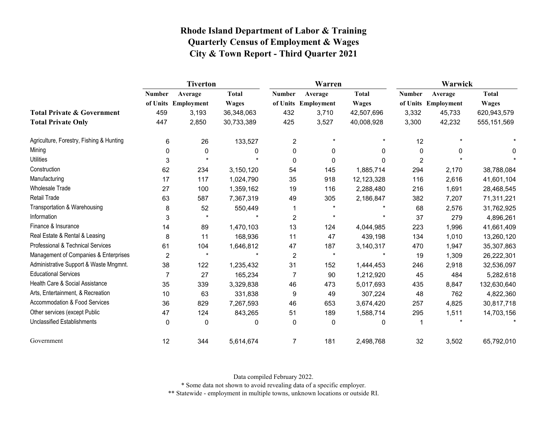|                                          | <b>Tiverton</b> |                     |              |                         | Warren              |              | Warwick        |                     |              |  |
|------------------------------------------|-----------------|---------------------|--------------|-------------------------|---------------------|--------------|----------------|---------------------|--------------|--|
|                                          | <b>Number</b>   | Average             | <b>Total</b> | <b>Number</b>           | Average             | <b>Total</b> | <b>Number</b>  | Average             | <b>Total</b> |  |
|                                          |                 | of Units Employment | <b>Wages</b> |                         | of Units Employment | <b>Wages</b> |                | of Units Employment | <b>Wages</b> |  |
| <b>Total Private &amp; Government</b>    | 459             | 3,193               | 36,348,063   | 432                     | 3,710               | 42,507,696   | 3,332          | 45,733              | 620,943,579  |  |
| <b>Total Private Only</b>                | 447             | 2,850               | 30,733,389   | 425                     | 3,527               | 40,008,928   | 3,300          | 42,232              | 555,151,569  |  |
| Agriculture, Forestry, Fishing & Hunting | 6               | 26                  | 133,527      | $\overline{\mathbf{c}}$ | $\star$             |              | 12             |                     |              |  |
| Mining                                   | $\Omega$        | 0                   | 0            | 0                       | $\mathbf 0$         | 0            | 0              | <sup>n</sup>        | 0            |  |
| <b>Utilities</b>                         | 3               |                     |              | 0                       | $\mathbf 0$         | $\Omega$     | $\overline{2}$ |                     |              |  |
| Construction                             | 62              | 234                 | 3,150,120    | 54                      | 145                 | 1,885,714    | 294            | 2,170               | 38,788,084   |  |
| Manufacturing                            | 17              | 117                 | 1,024,790    | 35                      | 918                 | 12,123,328   | 116            | 2,616               | 41,601,104   |  |
| <b>Wholesale Trade</b>                   | 27              | 100                 | 1,359,162    | 19                      | 116                 | 2,288,480    | 216            | 1,691               | 28,468,545   |  |
| <b>Retail Trade</b>                      | 63              | 587                 | 7,367,319    | 49                      | 305                 | 2,186,847    | 382            | 7,207               | 71,311,221   |  |
| Transportation & Warehousing             | 8               | 52                  | 550,449      |                         |                     |              | 68             | 2,576               | 31,762,925   |  |
| Information                              | 3               | $\star$             |              | $\overline{c}$          | $\star$             |              | 37             | 279                 | 4,896,261    |  |
| Finance & Insurance                      | 14              | 89                  | 1,470,103    | 13                      | 124                 | 4,044,985    | 223            | 1,996               | 41,661,409   |  |
| Real Estate & Rental & Leasing           | 8               | 11                  | 168,936      | 11                      | 47                  | 439,198      | 134            | 1,010               | 13,260,120   |  |
| Professional & Technical Services        | 61              | 104                 | 1,646,812    | 47                      | 187                 | 3,140,317    | 470            | 1,947               | 35,307,863   |  |
| Management of Companies & Enterprises    | $\overline{2}$  | $\star$             |              | 2                       | $\star$             |              | 19             | 1,309               | 26,222,301   |  |
| Administrative Support & Waste Mngmnt.   | 38              | 122                 | 1,235,432    | 31                      | 152                 | 1,444,453    | 246            | 2,918               | 32,536,097   |  |
| <b>Educational Services</b>              | $\overline{7}$  | 27                  | 165,234      | $\overline{7}$          | 90                  | 1,212,920    | 45             | 484                 | 5,282,618    |  |
| Health Care & Social Assistance          | 35              | 339                 | 3,329,838    | 46                      | 473                 | 5,017,693    | 435            | 8,847               | 132,630,640  |  |
| Arts, Entertainment, & Recreation        | 10              | 63                  | 331,838      | 9                       | 49                  | 307,224      | 48             | 762                 | 4,822,360    |  |
| <b>Accommodation &amp; Food Services</b> | 36              | 829                 | 7,267,593    | 46                      | 653                 | 3,674,420    | 257            | 4,825               | 30,817,718   |  |
| Other services (except Public            | 47              | 124                 | 843,265      | 51                      | 189                 | 1,588,714    | 295            | 1,511               | 14,703,156   |  |
| <b>Unclassified Establishments</b>       | $\Omega$        | $\mathbf{0}$        | 0            | 0                       | $\mathbf 0$         | 0            |                |                     |              |  |
| Government                               | 12              | 344                 | 5,614,674    | 7                       | 181                 | 2,498,768    | 32             | 3,502               | 65,792,010   |  |

Data compiled February 2022.

\* Some data not shown to avoid revealing data of a specific employer.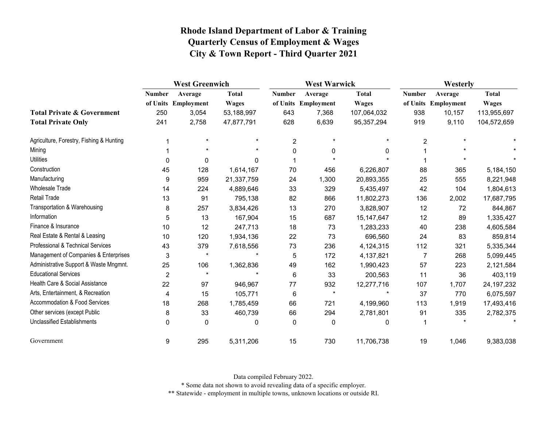|                                          | <b>West Greenwich</b> |                     |              |                | <b>West Warwick</b> |              |                | Westerly            |              |  |
|------------------------------------------|-----------------------|---------------------|--------------|----------------|---------------------|--------------|----------------|---------------------|--------------|--|
|                                          | <b>Number</b>         | Average             | <b>Total</b> | <b>Number</b>  | Average             | <b>Total</b> | <b>Number</b>  | Average             | <b>Total</b> |  |
|                                          |                       | of Units Employment | <b>Wages</b> |                | of Units Employment | <b>Wages</b> |                | of Units Employment | <b>Wages</b> |  |
| <b>Total Private &amp; Government</b>    | 250                   | 3,054               | 53,188,997   | 643            | 7,368               | 107,064,032  | 938            | 10,157              | 113,955,697  |  |
| <b>Total Private Only</b>                | 241                   | 2,758               | 47,877,791   | 628            | 6,639               | 95, 357, 294 | 919            | 9,110               | 104,572,659  |  |
| Agriculture, Forestry, Fishing & Hunting |                       | $\star$             |              | $\overline{c}$ | $\star$             |              | $\overline{c}$ |                     |              |  |
| Mining                                   |                       |                     |              | 0              | 0                   | 0            |                |                     |              |  |
| <b>Utilities</b>                         | 0                     | 0                   | $\Omega$     |                |                     |              |                |                     |              |  |
| Construction                             | 45                    | 128                 | 1,614,167    | 70             | 456                 | 6,226,807    | 88             | 365                 | 5,184,150    |  |
| Manufacturing                            | 9                     | 959                 | 21,337,759   | 24             | 1,300               | 20,893,355   | 25             | 555                 | 8,221,948    |  |
| Wholesale Trade                          | 14                    | 224                 | 4,889,646    | 33             | 329                 | 5,435,497    | 42             | 104                 | 1,804,613    |  |
| Retail Trade                             | 13                    | 91                  | 795,138      | 82             | 866                 | 11,802,273   | 136            | 2,002               | 17,687,795   |  |
| Transportation & Warehousing             | 8                     | 257                 | 3,834,426    | 13             | 270                 | 3,828,907    | 12             | 72                  | 844,867      |  |
| Information                              | 5                     | 13                  | 167,904      | 15             | 687                 | 15, 147, 647 | 12             | 89                  | 1,335,427    |  |
| Finance & Insurance                      | 10                    | 12                  | 247,713      | 18             | 73                  | 1,283,233    | 40             | 238                 | 4,605,584    |  |
| Real Estate & Rental & Leasing           | 10                    | 120                 | 1,934,136    | 22             | 73                  | 696,560      | 24             | 83                  | 859,814      |  |
| Professional & Technical Services        | 43                    | 379                 | 7,618,556    | 73             | 236                 | 4,124,315    | 112            | 321                 | 5,335,344    |  |
| Management of Companies & Enterprises    | 3                     | $\star$             |              | 5              | 172                 | 4,137,821    | 7              | 268                 | 5,099,445    |  |
| Administrative Support & Waste Mngmnt.   | 25                    | 106                 | 1,362,836    | 49             | 162                 | 1,990,423    | 57             | 223                 | 2,121,584    |  |
| <b>Educational Services</b>              | $\overline{2}$        | $\star$             |              | 6              | 33                  | 200,563      | 11             | 36                  | 403,119      |  |
| Health Care & Social Assistance          | 22                    | 97                  | 946,967      | 77             | 932                 | 12,277,716   | 107            | 1,707               | 24, 197, 232 |  |
| Arts, Entertainment, & Recreation        | 4                     | 15                  | 105,771      | 6              | $\star$             | $\star$      | 37             | 770                 | 6,075,597    |  |
| Accommodation & Food Services            | 18                    | 268                 | 1,785,459    | 66             | 721                 | 4,199,960    | 113            | 1,919               | 17,493,416   |  |
| Other services (except Public            | 8                     | 33                  | 460,739      | 66             | 294                 | 2,781,801    | 91             | 335                 | 2,782,375    |  |
| <b>Unclassified Establishments</b>       | $\mathbf{0}$          | $\mathbf{0}$        | $\mathbf{0}$ | 0              | $\mathbf 0$         | 0            |                |                     |              |  |
| Government                               | 9                     | 295                 | 5,311,206    | 15             | 730                 | 11,706,738   | 19             | 1,046               | 9,383,038    |  |

Data compiled February 2022.

\* Some data not shown to avoid revealing data of a specific employer.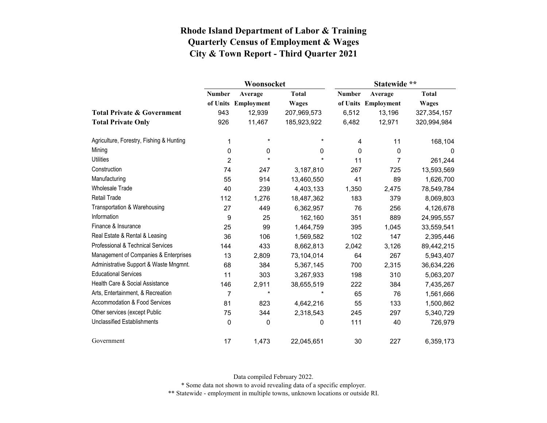|                                          |                  | Woonsocket          |              | Statewide **  |                     |               |  |
|------------------------------------------|------------------|---------------------|--------------|---------------|---------------------|---------------|--|
|                                          | <b>Number</b>    | Average             | <b>Total</b> | <b>Number</b> | Average             | <b>Total</b>  |  |
|                                          |                  | of Units Employment | <b>Wages</b> |               | of Units Employment | <b>Wages</b>  |  |
| <b>Total Private &amp; Government</b>    | 943              | 12,939              | 207,969,573  | 6,512         | 13,196              | 327, 354, 157 |  |
| <b>Total Private Only</b>                | 926              | 11,467              | 185,923,922  | 6,482         | 12,971              | 320,994,984   |  |
| Agriculture, Forestry, Fishing & Hunting | 1                | $\star$             | $^\star$     | 4             | 11                  | 168,104       |  |
| Mining                                   | $\boldsymbol{0}$ | 0                   | 0            | 0             | 0                   | 0             |  |
| <b>Utilities</b>                         | $\overline{2}$   | $^\star$            | $\star$      | 11            | $\overline{7}$      | 261,244       |  |
| Construction                             | 74               | 247                 | 3,187,810    | 267           | 725                 | 13,593,569    |  |
| Manufacturing                            | 55               | 914                 | 13,460,550   | 41            | 89                  | 1,626,700     |  |
| <b>Wholesale Trade</b>                   | 40               | 239                 | 4,403,133    | 1,350         | 2,475               | 78,549,784    |  |
| <b>Retail Trade</b>                      | 112              | 1,276               | 18,487,362   | 183           | 379                 | 8,069,803     |  |
| Transportation & Warehousing             | 27               | 449                 | 6,362,957    | 76            | 256                 | 4,126,678     |  |
| Information                              | 9                | 25                  | 162,160      | 351           | 889                 | 24,995,557    |  |
| Finance & Insurance                      | 25               | 99                  | 1,464,759    | 395           | 1,045               | 33,559,541    |  |
| Real Estate & Rental & Leasing           | 36               | 106                 | 1,569,582    | 102           | 147                 | 2,395,446     |  |
| Professional & Technical Services        | 144              | 433                 | 8,662,813    | 2,042         | 3,126               | 89,442,215    |  |
| Management of Companies & Enterprises    | 13               | 2,809               | 73,104,014   | 64            | 267                 | 5,943,407     |  |
| Administrative Support & Waste Mngmnt.   | 68               | 384                 | 5,367,145    | 700           | 2,315               | 36,634,226    |  |
| <b>Educational Services</b>              | 11               | 303                 | 3,267,933    | 198           | 310                 | 5,063,207     |  |
| Health Care & Social Assistance          | 146              | 2,911               | 38,655,519   | 222           | 384                 | 7,435,267     |  |
| Arts, Entertainment, & Recreation        | $\overline{7}$   | $\star$             | $\star$      | 65            | 76                  | 1,561,666     |  |
| Accommodation & Food Services            | 81               | 823                 | 4,642,216    | 55            | 133                 | 1,500,862     |  |
| Other services (except Public            | 75               | 344                 | 2,318,543    | 245           | 297                 | 5,340,729     |  |
| <b>Unclassified Establishments</b>       | 0                | 0                   | 0            | 111           | 40                  | 726,979       |  |
| Government                               | 17               | 1,473               | 22,045,651   | 30            | 227                 | 6,359,173     |  |

Data compiled February 2022.

\* Some data not shown to avoid revealing data of a specific employer.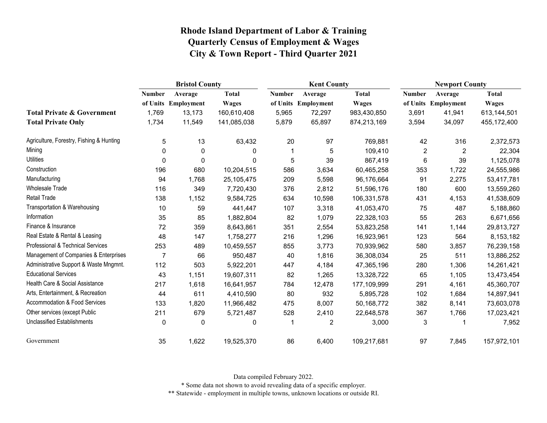|                                          | <b>Bristol County</b> |                     |              |        | <b>Kent County</b>  |              |                | <b>Newport County</b> |              |  |
|------------------------------------------|-----------------------|---------------------|--------------|--------|---------------------|--------------|----------------|-----------------------|--------------|--|
|                                          | <b>Number</b>         | Average             | <b>Total</b> | Number | Average             | <b>Total</b> | <b>Number</b>  | Average               | <b>Total</b> |  |
|                                          |                       | of Units Employment | <b>Wages</b> |        | of Units Employment | <b>Wages</b> |                | of Units Employment   | <b>Wages</b> |  |
| <b>Total Private &amp; Government</b>    | 1,769                 | 13,173              | 160,610,408  | 5,965  | 72,297              | 983,430,850  | 3,691          | 41,941                | 613,144,501  |  |
| <b>Total Private Only</b>                | 1,734                 | 11,549              | 141,085,038  | 5,879  | 65,897              | 874,213,169  | 3,594          | 34,097                | 455,172,400  |  |
| Agriculture, Forestry, Fishing & Hunting | 5                     | 13                  | 63,432       | 20     | 97                  | 769,881      | 42             | 316                   | 2,372,573    |  |
| Mining                                   | $\Omega$              | $\mathbf{0}$        | 0            | -1     | 5                   | 109,410      | $\overline{2}$ | $\overline{2}$        | 22,304       |  |
| <b>Utilities</b>                         | 0                     | 0                   | 0            | 5      | 39                  | 867,419      | 6              | 39                    | 1,125,078    |  |
| Construction                             | 196                   | 680                 | 10,204,515   | 586    | 3,634               | 60,465,258   | 353            | 1,722                 | 24,555,986   |  |
| Manufacturing                            | 94                    | 1,768               | 25,105,475   | 209    | 5,598               | 96,176,664   | 91             | 2,275                 | 53,417,781   |  |
| <b>Wholesale Trade</b>                   | 116                   | 349                 | 7,720,430    | 376    | 2,812               | 51,596,176   | 180            | 600                   | 13,559,260   |  |
| <b>Retail Trade</b>                      | 138                   | 1,152               | 9,584,725    | 634    | 10,598              | 106,331,578  | 431            | 4,153                 | 41,538,609   |  |
| Transportation & Warehousing             | 10                    | 59                  | 441,447      | 107    | 3,318               | 41,053,470   | 75             | 487                   | 5,188,860    |  |
| Information                              | 35                    | 85                  | 1,882,804    | 82     | 1,079               | 22,328,103   | 55             | 263                   | 6,671,656    |  |
| Finance & Insurance                      | 72                    | 359                 | 8,643,861    | 351    | 2,554               | 53,823,258   | 141            | 1,144                 | 29,813,727   |  |
| Real Estate & Rental & Leasing           | 48                    | 147                 | 1,758,277    | 216    | 1,296               | 16,923,961   | 123            | 564                   | 8,153,182    |  |
| Professional & Technical Services        | 253                   | 489                 | 10,459,557   | 855    | 3,773               | 70,939,962   | 580            | 3,857                 | 76,239,158   |  |
| Management of Companies & Enterprises    | $\overline{7}$        | 66                  | 950,487      | 40     | 1,816               | 36,308,034   | 25             | 511                   | 13,886,252   |  |
| Administrative Support & Waste Mngmnt.   | 112                   | 503                 | 5,922,201    | 447    | 4,184               | 47,365,196   | 280            | 1,306                 | 14,261,421   |  |
| <b>Educational Services</b>              | 43                    | 1,151               | 19,607,311   | 82     | 1,265               | 13,328,722   | 65             | 1,105                 | 13,473,454   |  |
| Health Care & Social Assistance          | 217                   | 1,618               | 16,641,957   | 784    | 12,478              | 177,109,999  | 291            | 4,161                 | 45,360,707   |  |
| Arts, Entertainment, & Recreation        | 44                    | 611                 | 4,410,590    | 80     | 932                 | 5,895,728    | 102            | 1,684                 | 14,897,941   |  |
| Accommodation & Food Services            | 133                   | 1,820               | 11,966,482   | 475    | 8,007               | 50,168,772   | 382            | 8,141                 | 73,603,078   |  |
| Other services (except Public            | 211                   | 679                 | 5,721,487    | 528    | 2,410               | 22,648,578   | 367            | 1,766                 | 17,023,421   |  |
| Unclassified Establishments              | 0                     | 0                   | 0            | -1     | 2                   | 3,000        | 3              |                       | 7,952        |  |
| Government                               | 35                    | 1,622               | 19,525,370   | 86     | 6,400               | 109,217,681  | 97             | 7,845                 | 157,972,101  |  |

Data compiled February 2022.

\* Some data not shown to avoid revealing data of a specific employer.